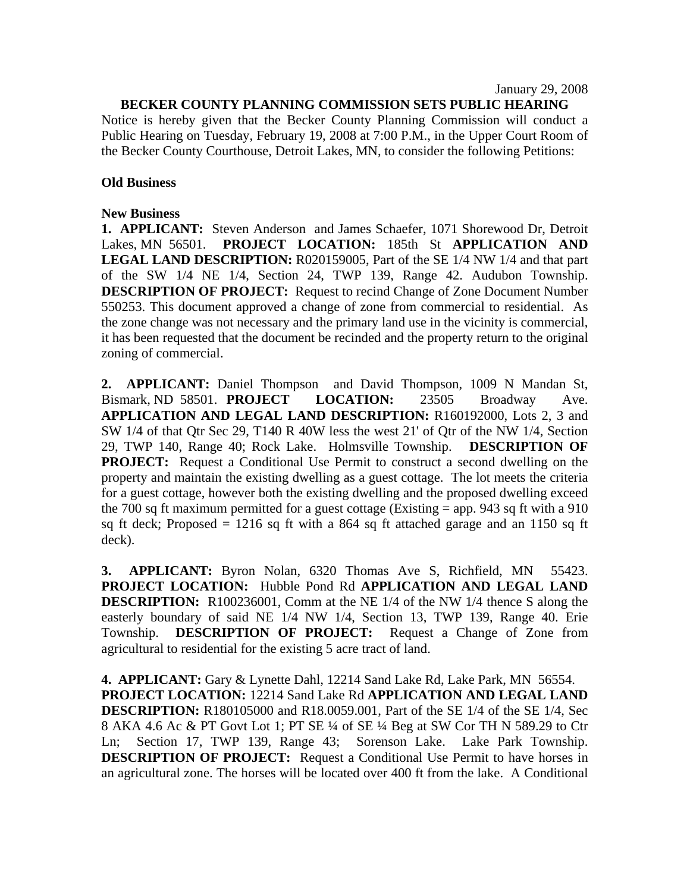January 29, 2008

## **BECKER COUNTY PLANNING COMMISSION SETS PUBLIC HEARING**

Notice is hereby given that the Becker County Planning Commission will conduct a Public Hearing on Tuesday, February 19, 2008 at 7:00 P.M., in the Upper Court Room of the Becker County Courthouse, Detroit Lakes, MN, to consider the following Petitions:

## **Old Business**

## **New Business**

**1. APPLICANT:** Steven Anderson and James Schaefer, 1071 Shorewood Dr, Detroit Lakes, MN 56501. **PROJECT LOCATION:** 185th St **APPLICATION AND LEGAL LAND DESCRIPTION:** R020159005, Part of the SE 1/4 NW 1/4 and that part of the SW 1/4 NE 1/4, Section 24, TWP 139, Range 42. Audubon Township. **DESCRIPTION OF PROJECT:** Request to recind Change of Zone Document Number 550253. This document approved a change of zone from commercial to residential. As the zone change was not necessary and the primary land use in the vicinity is commercial, it has been requested that the document be recinded and the property return to the original zoning of commercial.

**2. APPLICANT:** Daniel Thompson and David Thompson, 1009 N Mandan St, Bismark, ND 58501. **PROJECT LOCATION:** 23505 Broadway Ave. **APPLICATION AND LEGAL LAND DESCRIPTION:** R160192000, Lots 2, 3 and SW 1/4 of that Qtr Sec 29, T140 R 40W less the west 21' of Qtr of the NW 1/4, Section 29, TWP 140, Range 40; Rock Lake. Holmsville Township. **DESCRIPTION OF PROJECT:** Request a Conditional Use Permit to construct a second dwelling on the property and maintain the existing dwelling as a guest cottage. The lot meets the criteria for a guest cottage, however both the existing dwelling and the proposed dwelling exceed the 700 sq ft maximum permitted for a guest cottage (Existing  $=$  app. 943 sq ft with a 910 sq ft deck; Proposed  $= 1216$  sq ft with a 864 sq ft attached garage and an 1150 sq ft deck).

**3. APPLICANT:** Byron Nolan, 6320 Thomas Ave S, Richfield, MN 55423. **PROJECT LOCATION:** Hubble Pond Rd **APPLICATION AND LEGAL LAND DESCRIPTION:** R100236001, Comm at the NE 1/4 of the NW 1/4 thence S along the easterly boundary of said NE 1/4 NW 1/4, Section 13, TWP 139, Range 40. Erie Township. **DESCRIPTION OF PROJECT:** Request a Change of Zone from agricultural to residential for the existing 5 acre tract of land.

**4. APPLICANT:** Gary & Lynette Dahl, 12214 Sand Lake Rd, Lake Park, MN 56554. **PROJECT LOCATION:** 12214 Sand Lake Rd **APPLICATION AND LEGAL LAND DESCRIPTION:** R180105000 and R18.0059.001, Part of the SE 1/4 of the SE 1/4, Sec 8 AKA 4.6 Ac & PT Govt Lot 1; PT SE ¼ of SE ¼ Beg at SW Cor TH N 589.29 to Ctr Ln; Section 17, TWP 139, Range 43; Sorenson Lake. Lake Park Township. **DESCRIPTION OF PROJECT:** Request a Conditional Use Permit to have horses in an agricultural zone. The horses will be located over 400 ft from the lake. A Conditional